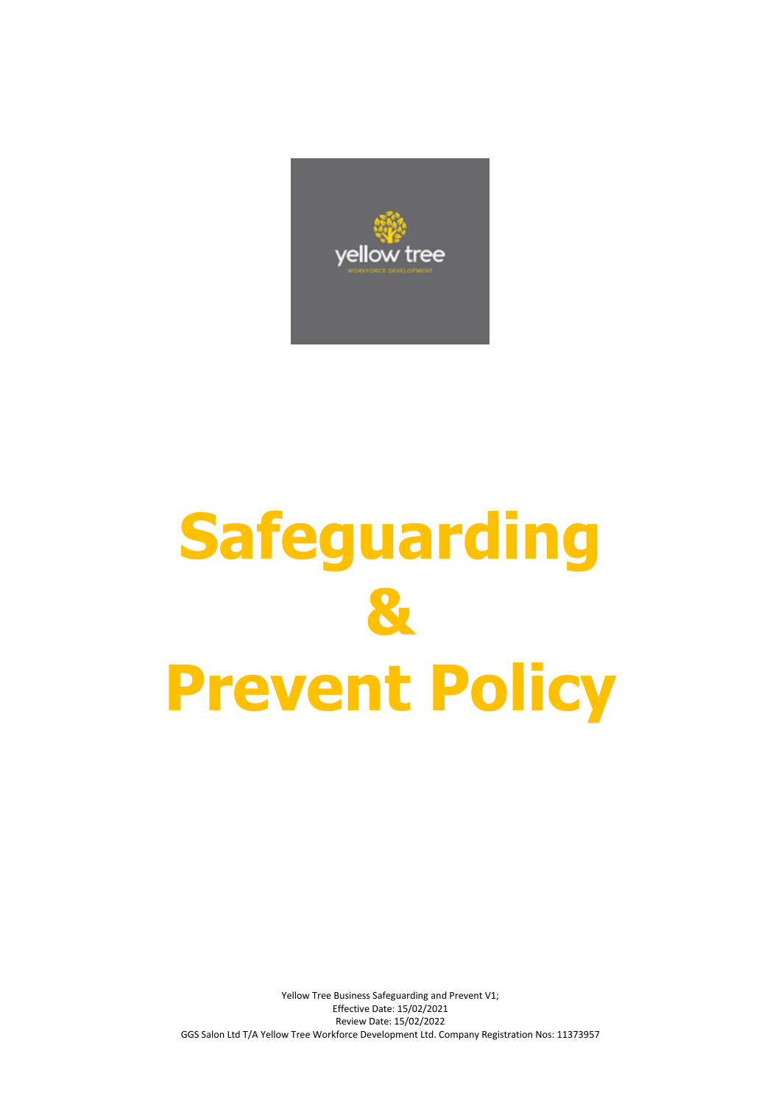

# **Safeguarding & Prevent Policy**

Yellow Tree Business Safeguarding and Prevent V1; Effective Date: 15/02/2021 Review Date: 15/02/2022 GGS Salon Ltd T/A Yellow Tree Workforce Development Ltd. Company Registration Nos: 11373957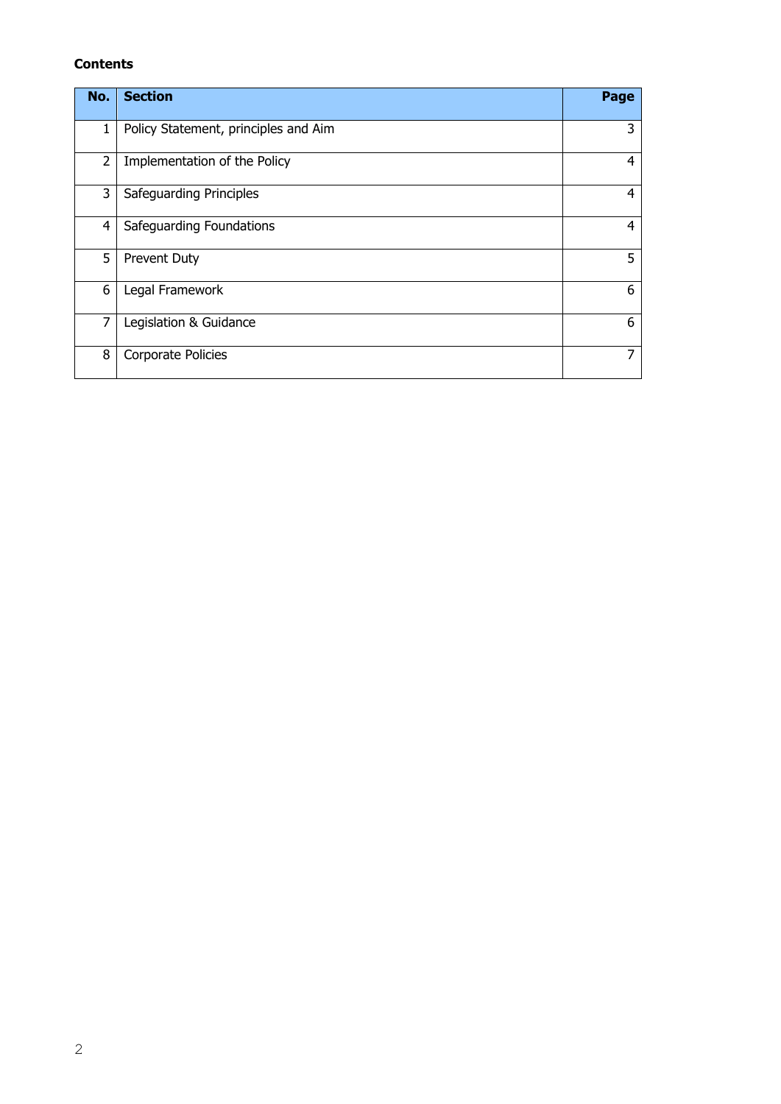## **Contents**

| No.            | <b>Section</b>                       | Page |
|----------------|--------------------------------------|------|
| 1              | Policy Statement, principles and Aim | 3    |
| 2              | Implementation of the Policy         | 4    |
| 3              | Safeguarding Principles              | 4    |
| 4              | Safeguarding Foundations             | 4    |
| 5              | Prevent Duty                         | 5    |
| 6              | Legal Framework                      | 6    |
| $\overline{7}$ | Legislation & Guidance               | 6    |
| 8              | Corporate Policies                   | 7    |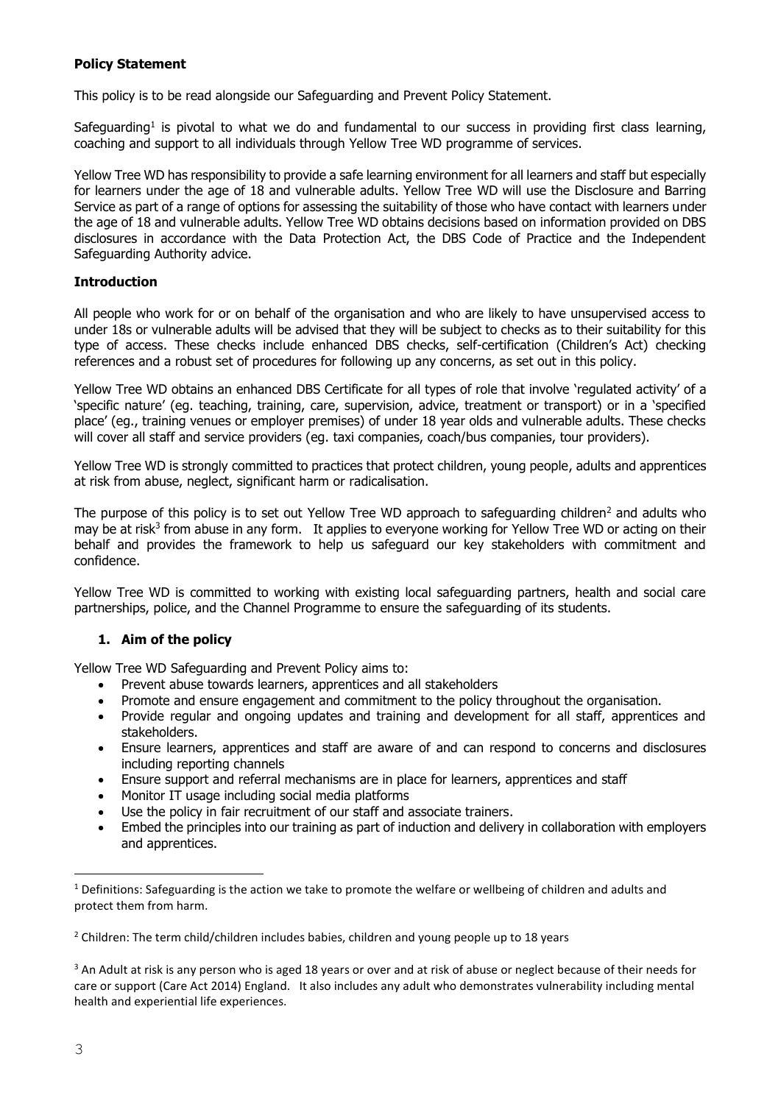## **Policy Statement**

This policy is to be read alongside our Safeguarding and Prevent Policy Statement.

Safeguarding<sup>1</sup> is pivotal to what we do and fundamental to our success in providing first class learning, coaching and support to all individuals through Yellow Tree WD programme of services.

Yellow Tree WD has responsibility to provide a safe learning environment for all learners and staff but especially for learners under the age of 18 and vulnerable adults. Yellow Tree WD will use the Disclosure and Barring Service as part of a range of options for assessing the suitability of those who have contact with learners under the age of 18 and vulnerable adults. Yellow Tree WD obtains decisions based on information provided on DBS disclosures in accordance with the Data Protection Act, the DBS Code of Practice and the Independent Safeguarding Authority advice.

## **Introduction**

All people who work for or on behalf of the organisation and who are likely to have unsupervised access to under 18s or vulnerable adults will be advised that they will be subject to checks as to their suitability for this type of access. These checks include enhanced DBS checks, self-certification (Children's Act) checking references and a robust set of procedures for following up any concerns, as set out in this policy.

Yellow Tree WD obtains an enhanced DBS Certificate for all types of role that involve 'regulated activity' of a 'specific nature' (eg. teaching, training, care, supervision, advice, treatment or transport) or in a 'specified place' (eg., training venues or employer premises) of under 18 year olds and vulnerable adults. These checks will cover all staff and service providers (eg. taxi companies, coach/bus companies, tour providers).

Yellow Tree WD is strongly committed to practices that protect children, young people, adults and apprentices at risk from abuse, neglect, significant harm or radicalisation.

The purpose of this policy is to set out Yellow Tree WD approach to safeguarding children<sup>2</sup> and adults who may be at risk<sup>3</sup> from abuse in any form. It applies to everyone working for Yellow Tree WD or acting on their behalf and provides the framework to help us safeguard our key stakeholders with commitment and confidence.

Yellow Tree WD is committed to working with existing local safeguarding partners, health and social care partnerships, police, and the Channel Programme to ensure the safeguarding of its students.

# **1. Aim of the policy**

Yellow Tree WD Safeguarding and Prevent Policy aims to:

- Prevent abuse towards learners, apprentices and all stakeholders
- Promote and ensure engagement and commitment to the policy throughout the organisation.
- Provide regular and ongoing updates and training and development for all staff, apprentices and stakeholders.
- Ensure learners, apprentices and staff are aware of and can respond to concerns and disclosures including reporting channels
- Ensure support and referral mechanisms are in place for learners, apprentices and staff
- Monitor IT usage including social media platforms
- Use the policy in fair recruitment of our staff and associate trainers.
- Embed the principles into our training as part of induction and delivery in collaboration with employers and apprentices.

 $2$  Children: The term child/children includes babies, children and young people up to 18 years

<sup>3</sup> An Adult at risk is any person who is aged 18 years or over and at risk of abuse or neglect because of their needs for care or support (Care Act 2014) England. It also includes any adult who demonstrates vulnerability including mental health and experiential life experiences.

—<br>—

 $1$  Definitions: Safeguarding is the action we take to promote the welfare or wellbeing of children and adults and protect them from harm.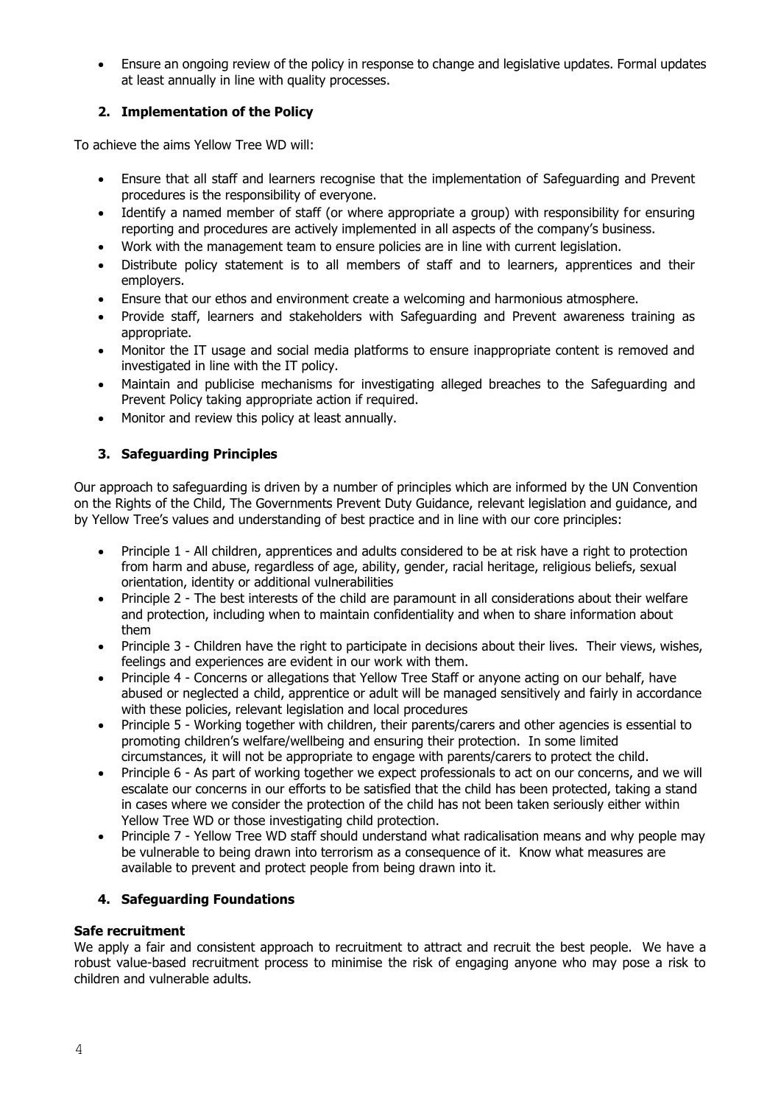Ensure an ongoing review of the policy in response to change and legislative updates. Formal updates at least annually in line with quality processes.

# **2. Implementation of the Policy**

To achieve the aims Yellow Tree WD will:

- Ensure that all staff and learners recognise that the implementation of Safeguarding and Prevent procedures is the responsibility of everyone.
- Identify a named member of staff (or where appropriate a group) with responsibility for ensuring reporting and procedures are actively implemented in all aspects of the company's business.
- Work with the management team to ensure policies are in line with current legislation.
- Distribute policy statement is to all members of staff and to learners, apprentices and their employers.
- Ensure that our ethos and environment create a welcoming and harmonious atmosphere.
- Provide staff, learners and stakeholders with Safeguarding and Prevent awareness training as appropriate.
- Monitor the IT usage and social media platforms to ensure inappropriate content is removed and investigated in line with the IT policy.
- Maintain and publicise mechanisms for investigating alleged breaches to the Safeguarding and Prevent Policy taking appropriate action if required.
- Monitor and review this policy at least annually.

# **3. Safeguarding Principles**

Our approach to safeguarding is driven by a number of principles which are informed by the UN Convention on the Rights of the Child, The Governments Prevent Duty Guidance, relevant legislation and guidance, and by Yellow Tree's values and understanding of best practice and in line with our core principles:

- Principle 1 All children, apprentices and adults considered to be at risk have a right to protection from harm and abuse, regardless of age, ability, gender, racial heritage, religious beliefs, sexual orientation, identity or additional vulnerabilities
- Principle 2 The best interests of the child are paramount in all considerations about their welfare and protection, including when to maintain confidentiality and when to share information about them
- Principle 3 Children have the right to participate in decisions about their lives. Their views, wishes, feelings and experiences are evident in our work with them.
- Principle 4 Concerns or allegations that Yellow Tree Staff or anyone acting on our behalf, have abused or neglected a child, apprentice or adult will be managed sensitively and fairly in accordance with these policies, relevant legislation and local procedures
- Principle 5 Working together with children, their parents/carers and other agencies is essential to promoting children's welfare/wellbeing and ensuring their protection. In some limited circumstances, it will not be appropriate to engage with parents/carers to protect the child.
- Principle 6 As part of working together we expect professionals to act on our concerns, and we will escalate our concerns in our efforts to be satisfied that the child has been protected, taking a stand in cases where we consider the protection of the child has not been taken seriously either within Yellow Tree WD or those investigating child protection.
- Principle 7 Yellow Tree WD staff should understand what radicalisation means and why people may be vulnerable to being drawn into terrorism as a consequence of it. Know what measures are available to prevent and protect people from being drawn into it.

# **4. Safeguarding Foundations**

# **Safe recruitment**

We apply a fair and consistent approach to recruitment to attract and recruit the best people. We have a robust value-based recruitment process to minimise the risk of engaging anyone who may pose a risk to children and vulnerable adults.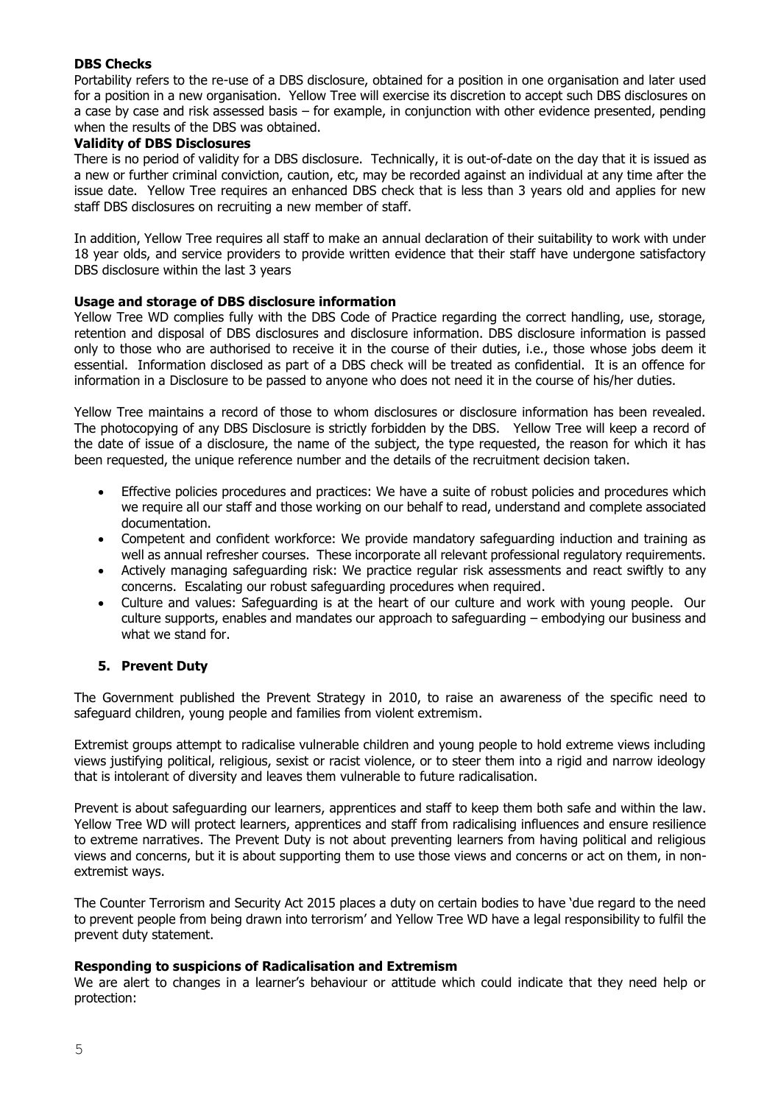### **DBS Checks**

Portability refers to the re-use of a DBS disclosure, obtained for a position in one organisation and later used for a position in a new organisation. Yellow Tree will exercise its discretion to accept such DBS disclosures on a case by case and risk assessed basis – for example, in conjunction with other evidence presented, pending when the results of the DBS was obtained.

#### **Validity of DBS Disclosures**

There is no period of validity for a DBS disclosure. Technically, it is out-of-date on the day that it is issued as a new or further criminal conviction, caution, etc, may be recorded against an individual at any time after the issue date. Yellow Tree requires an enhanced DBS check that is less than 3 years old and applies for new staff DBS disclosures on recruiting a new member of staff.

In addition, Yellow Tree requires all staff to make an annual declaration of their suitability to work with under 18 year olds, and service providers to provide written evidence that their staff have undergone satisfactory DBS disclosure within the last 3 years

## **Usage and storage of DBS disclosure information**

Yellow Tree WD complies fully with the DBS Code of Practice regarding the correct handling, use, storage, retention and disposal of DBS disclosures and disclosure information. DBS disclosure information is passed only to those who are authorised to receive it in the course of their duties, i.e., those whose jobs deem it essential. Information disclosed as part of a DBS check will be treated as confidential. It is an offence for information in a Disclosure to be passed to anyone who does not need it in the course of his/her duties.

Yellow Tree maintains a record of those to whom disclosures or disclosure information has been revealed. The photocopying of any DBS Disclosure is strictly forbidden by the DBS. Yellow Tree will keep a record of the date of issue of a disclosure, the name of the subject, the type requested, the reason for which it has been requested, the unique reference number and the details of the recruitment decision taken.

- Effective policies procedures and practices: We have a suite of robust policies and procedures which we require all our staff and those working on our behalf to read, understand and complete associated documentation.
- Competent and confident workforce: We provide mandatory safeguarding induction and training as well as annual refresher courses. These incorporate all relevant professional regulatory requirements.
- Actively managing safeguarding risk: We practice regular risk assessments and react swiftly to any concerns. Escalating our robust safeguarding procedures when required.
- Culture and values: Safeguarding is at the heart of our culture and work with young people. Our culture supports, enables and mandates our approach to safeguarding – embodying our business and what we stand for.

# **5. Prevent Duty**

The Government published the Prevent Strategy in 2010, to raise an awareness of the specific need to safeguard children, young people and families from violent extremism.

Extremist groups attempt to radicalise vulnerable children and young people to hold extreme views including views justifying political, religious, sexist or racist violence, or to steer them into a rigid and narrow ideology that is intolerant of diversity and leaves them vulnerable to future radicalisation.

Prevent is about safeguarding our learners, apprentices and staff to keep them both safe and within the law. Yellow Tree WD will protect learners, apprentices and staff from radicalising influences and ensure resilience to extreme narratives. The Prevent Duty is not about preventing learners from having political and religious views and concerns, but it is about supporting them to use those views and concerns or act on them, in nonextremist ways.

The Counter Terrorism and Security Act 2015 places a duty on certain bodies to have 'due regard to the need to prevent people from being drawn into terrorism' and Yellow Tree WD have a legal responsibility to fulfil the prevent duty statement.

#### **Responding to suspicions of Radicalisation and Extremism**

We are alert to changes in a learner's behaviour or attitude which could indicate that they need help or protection: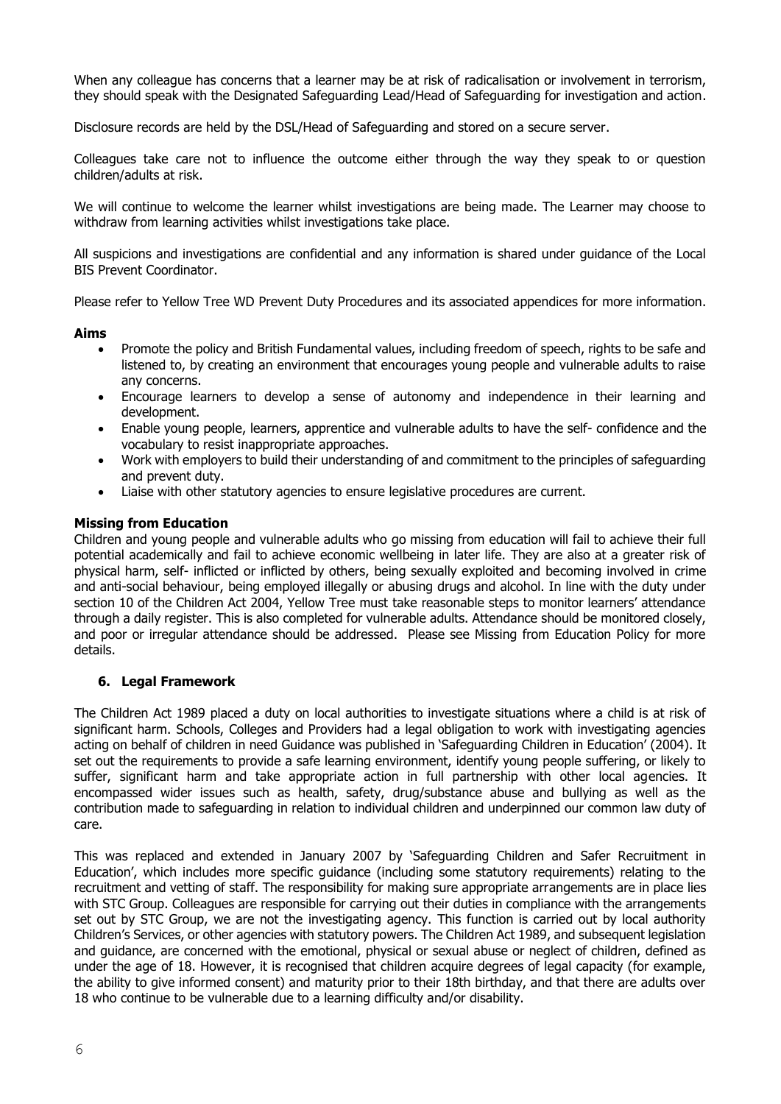When any colleague has concerns that a learner may be at risk of radicalisation or involvement in terrorism, they should speak with the Designated Safeguarding Lead/Head of Safeguarding for investigation and action.

Disclosure records are held by the DSL/Head of Safeguarding and stored on a secure server.

Colleagues take care not to influence the outcome either through the way they speak to or question children/adults at risk.

We will continue to welcome the learner whilst investigations are being made. The Learner may choose to withdraw from learning activities whilst investigations take place.

All suspicions and investigations are confidential and any information is shared under guidance of the Local BIS Prevent Coordinator.

Please refer to Yellow Tree WD Prevent Duty Procedures and its associated appendices for more information.

#### **Aims**

- Promote the policy and British Fundamental values, including freedom of speech, rights to be safe and listened to, by creating an environment that encourages young people and vulnerable adults to raise any concerns.
- Encourage learners to develop a sense of autonomy and independence in their learning and development.
- Enable young people, learners, apprentice and vulnerable adults to have the self- confidence and the vocabulary to resist inappropriate approaches.
- Work with employers to build their understanding of and commitment to the principles of safeguarding and prevent duty.
- Liaise with other statutory agencies to ensure legislative procedures are current.

## **Missing from Education**

Children and young people and vulnerable adults who go missing from education will fail to achieve their full potential academically and fail to achieve economic wellbeing in later life. They are also at a greater risk of physical harm, self- inflicted or inflicted by others, being sexually exploited and becoming involved in crime and anti-social behaviour, being employed illegally or abusing drugs and alcohol. In line with the duty under section 10 of the Children Act 2004, Yellow Tree must take reasonable steps to monitor learners' attendance through a daily register. This is also completed for vulnerable adults. Attendance should be monitored closely, and poor or irregular attendance should be addressed. Please see Missing from Education Policy for more details.

# **6. Legal Framework**

The Children Act 1989 placed a duty on local authorities to investigate situations where a child is at risk of significant harm. Schools, Colleges and Providers had a legal obligation to work with investigating agencies acting on behalf of children in need Guidance was published in 'Safeguarding Children in Education' (2004). It set out the requirements to provide a safe learning environment, identify young people suffering, or likely to suffer, significant harm and take appropriate action in full partnership with other local agencies. It encompassed wider issues such as health, safety, drug/substance abuse and bullying as well as the contribution made to safeguarding in relation to individual children and underpinned our common law duty of care.

This was replaced and extended in January 2007 by 'Safeguarding Children and Safer Recruitment in Education', which includes more specific guidance (including some statutory requirements) relating to the recruitment and vetting of staff. The responsibility for making sure appropriate arrangements are in place lies with STC Group. Colleagues are responsible for carrying out their duties in compliance with the arrangements set out by STC Group, we are not the investigating agency. This function is carried out by local authority Children's Services, or other agencies with statutory powers. The Children Act 1989, and subsequent legislation and guidance, are concerned with the emotional, physical or sexual abuse or neglect of children, defined as under the age of 18. However, it is recognised that children acquire degrees of legal capacity (for example, the ability to give informed consent) and maturity prior to their 18th birthday, and that there are adults over 18 who continue to be vulnerable due to a learning difficulty and/or disability.